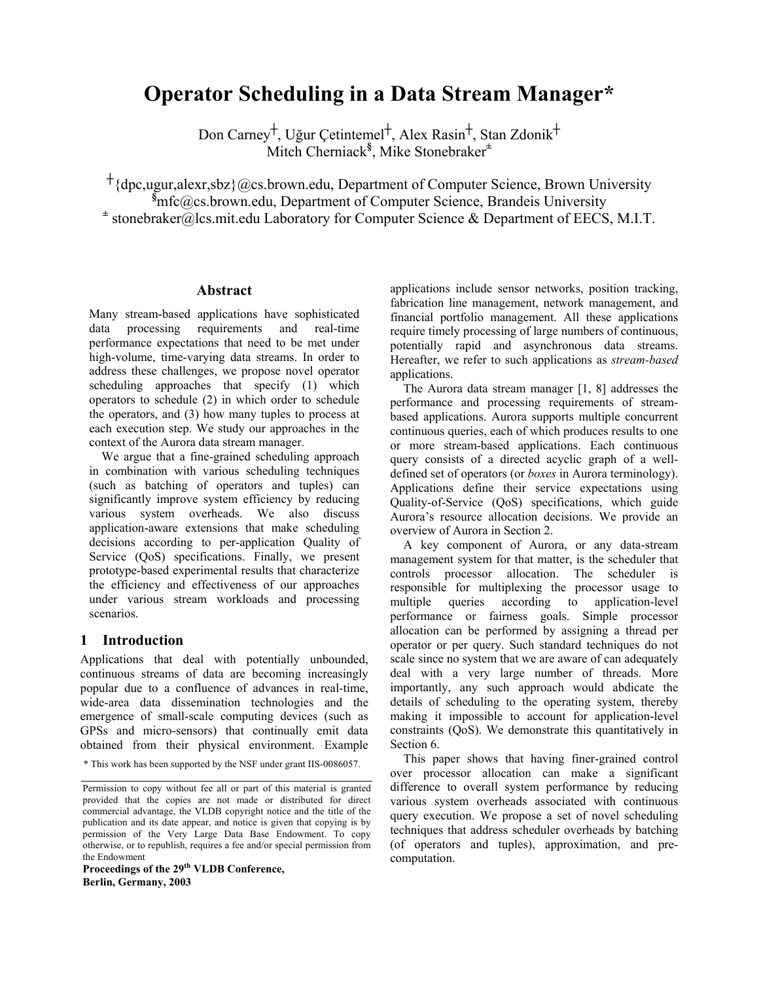# **Operator Scheduling in a Data Stream Manager\***

Don Carney**┼**, Uğur Çetintemel**┼**, Alex Rasin**┼**, Stan Zdonik**┼** Mitch Cherniack**§** , Mike Stonebraker**<sup>±</sup>**

**┼**{dpc,ugur,alexr,sbz}@cs.brown.edu, Department of Computer Science, Brown University  $\frac{\delta_{\text{m}}}{\delta}$  mfc@cs.brown.edu, Department of Computer Science, Brandeis University  $\pm$  stonebraker@lcs.mit.edu Laboratory for Computer Science & Department of EECS, M.I.T.

#### **Abstract**

Many stream-based applications have sophisticated data processing requirements and real-time performance expectations that need to be met under high-volume, time-varying data streams. In order to address these challenges, we propose novel operator scheduling approaches that specify (1) which operators to schedule (2) in which order to schedule the operators, and (3) how many tuples to process at each execution step. We study our approaches in the context of the Aurora data stream manager.

 We argue that a fine-grained scheduling approach in combination with various scheduling techniques (such as batching of operators and tuples) can significantly improve system efficiency by reducing various system overheads. We also discuss application-aware extensions that make scheduling decisions according to per-application Quality of Service (QoS) specifications. Finally, we present prototype-based experimental results that characterize the efficiency and effectiveness of our approaches under various stream workloads and processing scenarios.

# **1 Introduction**

Applications that deal with potentially unbounded, continuous streams of data are becoming increasingly popular due to a confluence of advances in real-time, wide-area data dissemination technologies and the emergence of small-scale computing devices (such as GPSs and micro-sensors) that continually emit data obtained from their physical environment. Example

\* This work has been supported by the NSF under grant IIS-0086057.

Proceedings of the 29<sup>th</sup> VLDB Conference, **Berlin, Germany, 2003** 

applications include sensor networks, position tracking, fabrication line management, network management, and financial portfolio management. All these applications require timely processing of large numbers of continuous, potentially rapid and asynchronous data streams. Hereafter, we refer to such applications as *stream-based* applications.

The Aurora data stream manager [1, 8] addresses the performance and processing requirements of streambased applications. Aurora supports multiple concurrent continuous queries, each of which produces results to one or more stream-based applications. Each continuous query consists of a directed acyclic graph of a welldefined set of operators (or *boxes* in Aurora terminology). Applications define their service expectations using Quality-of-Service (QoS) specifications, which guide Aurora's resource allocation decisions. We provide an overview of Aurora in Section 2.

A key component of Aurora, or any data-stream management system for that matter, is the scheduler that controls processor allocation. The scheduler is responsible for multiplexing the processor usage to multiple queries according to application-level performance or fairness goals. Simple processor allocation can be performed by assigning a thread per operator or per query. Such standard techniques do not scale since no system that we are aware of can adequately deal with a very large number of threads. More importantly, any such approach would abdicate the details of scheduling to the operating system, thereby making it impossible to account for application-level constraints (QoS). We demonstrate this quantitatively in Section 6.

This paper shows that having finer-grained control over processor allocation can make a significant difference to overall system performance by reducing various system overheads associated with continuous query execution. We propose a set of novel scheduling techniques that address scheduler overheads by batching (of operators and tuples), approximation, and precomputation.

Permission to copy without fee all or part of this material is granted provided that the copies are not made or distributed for direct commercial advantage, the VLDB copyright notice and the title of the publication and its date appear, and notice is given that copying is by permission of the Very Large Data Base Endowment. To copy otherwise, or to republish, requires a fee and/or special permission from the Endowment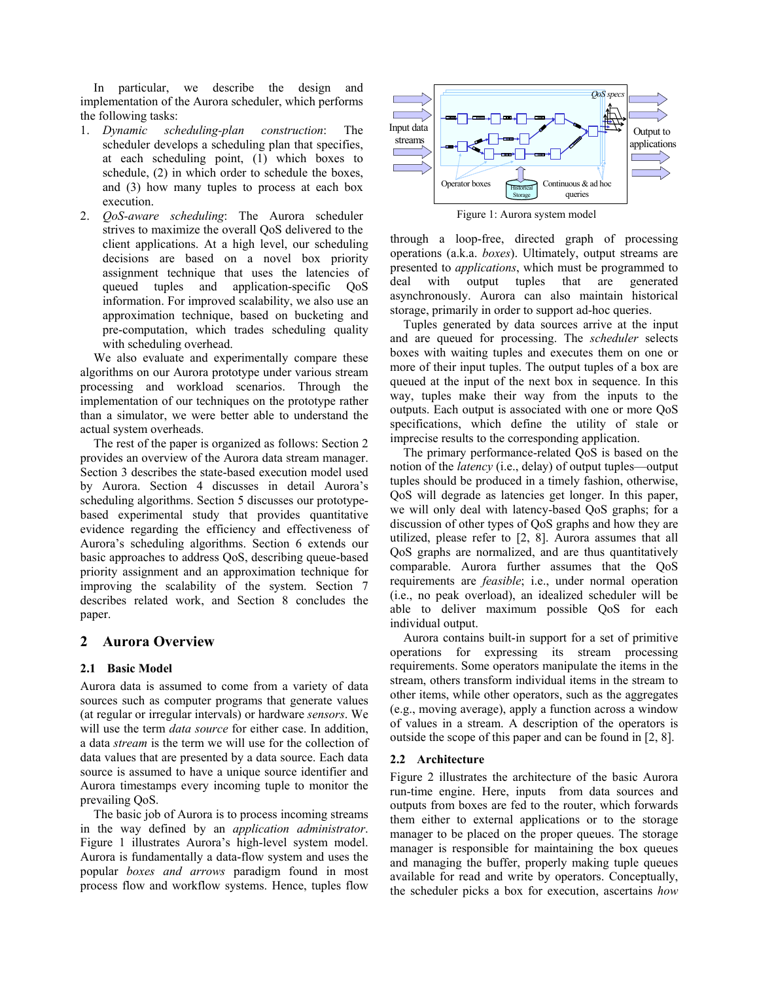In particular, we describe the design and implementation of the Aurora scheduler, which performs the following tasks:

- 1. *Dynamic scheduling-plan construction*: The scheduler develops a scheduling plan that specifies, at each scheduling point, (1) which boxes to schedule, (2) in which order to schedule the boxes, and (3) how many tuples to process at each box execution.
- 2. *QoS-aware scheduling*: The Aurora scheduler strives to maximize the overall QoS delivered to the client applications. At a high level, our scheduling decisions are based on a novel box priority assignment technique that uses the latencies of queued tuples and application-specific QoS information. For improved scalability, we also use an approximation technique, based on bucketing and pre-computation, which trades scheduling quality with scheduling overhead.

We also evaluate and experimentally compare these algorithms on our Aurora prototype under various stream processing and workload scenarios. Through the implementation of our techniques on the prototype rather than a simulator, we were better able to understand the actual system overheads.

The rest of the paper is organized as follows: Section 2 provides an overview of the Aurora data stream manager. Section 3 describes the state-based execution model used by Aurora. Section 4 discusses in detail Aurora's scheduling algorithms. Section 5 discusses our prototypebased experimental study that provides quantitative evidence regarding the efficiency and effectiveness of Aurora's scheduling algorithms. Section 6 extends our basic approaches to address QoS, describing queue-based priority assignment and an approximation technique for improving the scalability of the system. Section 7 describes related work, and Section 8 concludes the paper.

# **2 Aurora Overview**

# **2.1 Basic Model**

Aurora data is assumed to come from a variety of data sources such as computer programs that generate values (at regular or irregular intervals) or hardware *sensors*. We will use the term *data source* for either case. In addition, a data *stream* is the term we will use for the collection of data values that are presented by a data source. Each data source is assumed to have a unique source identifier and Aurora timestamps every incoming tuple to monitor the prevailing QoS.

The basic job of Aurora is to process incoming streams in the way defined by an *application administrator*. Figure 1 illustrates Aurora's high-level system model. Aurora is fundamentally a data-flow system and uses the popular *boxes and arrows* paradigm found in most process flow and workflow systems. Hence, tuples flow



Figure 1: Aurora system model

through a loop-free, directed graph of processing operations (a.k.a. *boxes*). Ultimately, output streams are presented to *applications*, which must be programmed to deal with output tuples that are generated asynchronously. Aurora can also maintain historical storage, primarily in order to support ad-hoc queries.

Tuples generated by data sources arrive at the input and are queued for processing. The *scheduler* selects boxes with waiting tuples and executes them on one or more of their input tuples. The output tuples of a box are queued at the input of the next box in sequence. In this way, tuples make their way from the inputs to the outputs. Each output is associated with one or more QoS specifications, which define the utility of stale or imprecise results to the corresponding application.

The primary performance-related QoS is based on the notion of the *latency* (i.e., delay) of output tuples—output tuples should be produced in a timely fashion, otherwise, QoS will degrade as latencies get longer. In this paper, we will only deal with latency-based QoS graphs; for a discussion of other types of QoS graphs and how they are utilized, please refer to [2, 8]. Aurora assumes that all QoS graphs are normalized, and are thus quantitatively comparable. Aurora further assumes that the QoS requirements are *feasible*; i.e., under normal operation (i.e., no peak overload), an idealized scheduler will be able to deliver maximum possible QoS for each individual output.

Aurora contains built-in support for a set of primitive operations for expressing its stream processing requirements. Some operators manipulate the items in the stream, others transform individual items in the stream to other items, while other operators, such as the aggregates (e.g., moving average), apply a function across a window of values in a stream. A description of the operators is outside the scope of this paper and can be found in [2, 8].

# **2.2 Architecture**

Figure 2 illustrates the architecture of the basic Aurora run-time engine. Here, inputs from data sources and outputs from boxes are fed to the router, which forwards them either to external applications or to the storage manager to be placed on the proper queues. The storage manager is responsible for maintaining the box queues and managing the buffer, properly making tuple queues available for read and write by operators. Conceptually, the scheduler picks a box for execution, ascertains *how*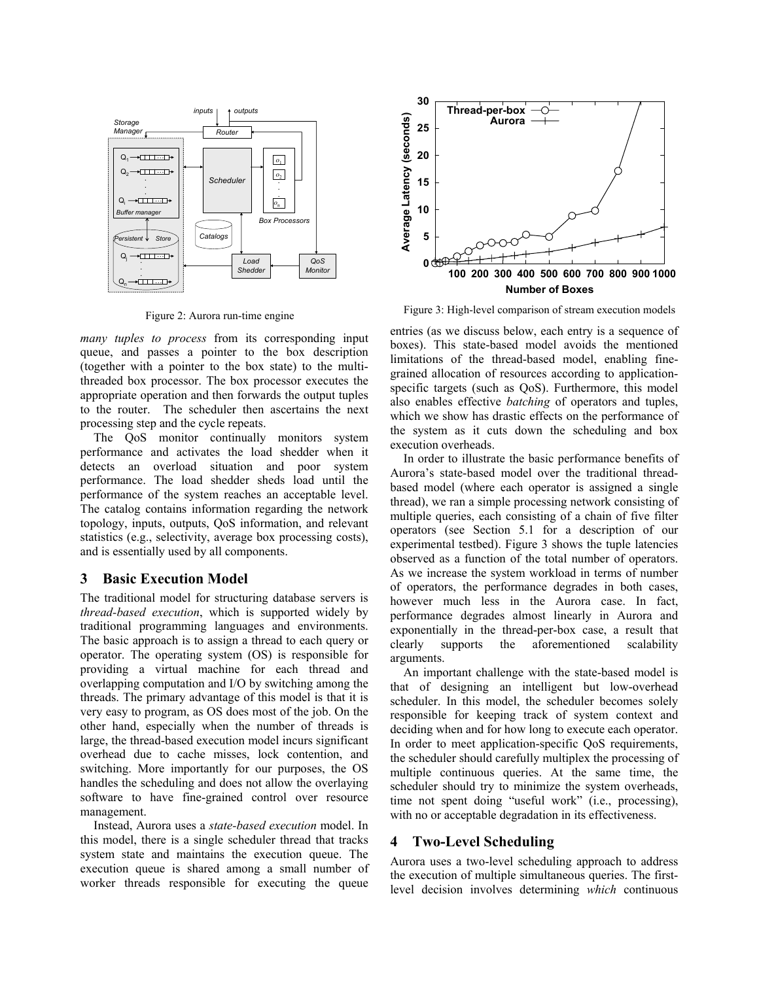

Figure 2: Aurora run-time engine

*many tuples to process* from its corresponding input queue, and passes a pointer to the box description (together with a pointer to the box state) to the multithreaded box processor. The box processor executes the appropriate operation and then forwards the output tuples to the router. The scheduler then ascertains the next processing step and the cycle repeats.

The QoS monitor continually monitors system performance and activates the load shedder when it detects an overload situation and poor system performance. The load shedder sheds load until the performance of the system reaches an acceptable level. The catalog contains information regarding the network topology, inputs, outputs, QoS information, and relevant statistics (e.g., selectivity, average box processing costs), and is essentially used by all components.

#### **3 Basic Execution Model**

The traditional model for structuring database servers is *thread-based execution*, which is supported widely by traditional programming languages and environments. The basic approach is to assign a thread to each query or operator. The operating system (OS) is responsible for providing a virtual machine for each thread and overlapping computation and I/O by switching among the threads. The primary advantage of this model is that it is very easy to program, as OS does most of the job. On the other hand, especially when the number of threads is large, the thread-based execution model incurs significant overhead due to cache misses, lock contention, and switching. More importantly for our purposes, the OS handles the scheduling and does not allow the overlaying software to have fine-grained control over resource management.

Instead, Aurora uses a *state-based execution* model. In this model, there is a single scheduler thread that tracks system state and maintains the execution queue. The execution queue is shared among a small number of worker threads responsible for executing the queue



Figure 3: High-level comparison of stream execution models

entries (as we discuss below, each entry is a sequence of boxes). This state-based model avoids the mentioned limitations of the thread-based model, enabling finegrained allocation of resources according to applicationspecific targets (such as QoS). Furthermore, this model also enables effective *batching* of operators and tuples, which we show has drastic effects on the performance of the system as it cuts down the scheduling and box execution overheads.

In order to illustrate the basic performance benefits of Aurora's state-based model over the traditional threadbased model (where each operator is assigned a single thread), we ran a simple processing network consisting of multiple queries, each consisting of a chain of five filter operators (see Section 5.1 for a description of our experimental testbed). Figure 3 shows the tuple latencies observed as a function of the total number of operators. As we increase the system workload in terms of number of operators, the performance degrades in both cases, however much less in the Aurora case. In fact, performance degrades almost linearly in Aurora and exponentially in the thread-per-box case, a result that clearly supports the aforementioned scalability arguments.

An important challenge with the state-based model is that of designing an intelligent but low-overhead scheduler. In this model, the scheduler becomes solely responsible for keeping track of system context and deciding when and for how long to execute each operator. In order to meet application-specific QoS requirements, the scheduler should carefully multiplex the processing of multiple continuous queries. At the same time, the scheduler should try to minimize the system overheads, time not spent doing "useful work" (i.e., processing), with no or acceptable degradation in its effectiveness.

# **4 Two-Level Scheduling**

Aurora uses a two-level scheduling approach to address the execution of multiple simultaneous queries. The firstlevel decision involves determining *which* continuous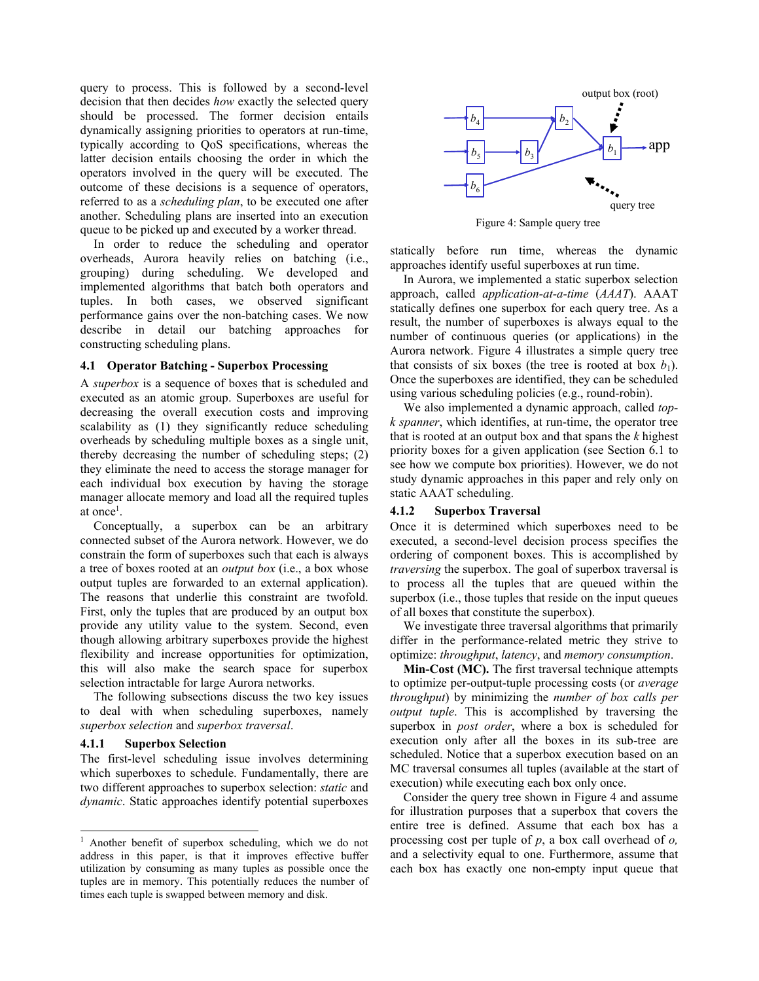query to process. This is followed by a second-level decision that then decides *how* exactly the selected query should be processed. The former decision entails dynamically assigning priorities to operators at run-time, typically according to QoS specifications, whereas the latter decision entails choosing the order in which the operators involved in the query will be executed. The outcome of these decisions is a sequence of operators, referred to as a *scheduling plan*, to be executed one after another. Scheduling plans are inserted into an execution queue to be picked up and executed by a worker thread.

In order to reduce the scheduling and operator overheads, Aurora heavily relies on batching (i.e., grouping) during scheduling. We developed and implemented algorithms that batch both operators and tuples. In both cases, we observed significant performance gains over the non-batching cases. We now describe in detail our batching approaches for constructing scheduling plans.

#### **4.1 Operator Batching - Superbox Processing**

A *superbox* is a sequence of boxes that is scheduled and executed as an atomic group. Superboxes are useful for decreasing the overall execution costs and improving scalability as (1) they significantly reduce scheduling overheads by scheduling multiple boxes as a single unit, thereby decreasing the number of scheduling steps; (2) they eliminate the need to access the storage manager for each individual box execution by having the storage manager allocate memory and load all the required tuples at once<sup> $1$ </sup>.

Conceptually, a superbox can be an arbitrary connected subset of the Aurora network. However, we do constrain the form of superboxes such that each is always a tree of boxes rooted at an *output box* (i.e., a box whose output tuples are forwarded to an external application). The reasons that underlie this constraint are twofold. First, only the tuples that are produced by an output box provide any utility value to the system. Second, even though allowing arbitrary superboxes provide the highest flexibility and increase opportunities for optimization, this will also make the search space for superbox selection intractable for large Aurora networks.

The following subsections discuss the two key issues to deal with when scheduling superboxes, namely *superbox selection* and *superbox traversal*.

#### **4.1.1 Superbox Selection**

l

The first-level scheduling issue involves determining which superboxes to schedule. Fundamentally, there are two different approaches to superbox selection: *static* and *dynamic*. Static approaches identify potential superboxes



Figure 4: Sample query tree

statically before run time, whereas the dynamic approaches identify useful superboxes at run time.

In Aurora, we implemented a static superbox selection approach, called *application-at-a-time* (*AAAT*). AAAT statically defines one superbox for each query tree. As a result, the number of superboxes is always equal to the number of continuous queries (or applications) in the Aurora network. Figure 4 illustrates a simple query tree that consists of six boxes (the tree is rooted at box  $b_1$ ). Once the superboxes are identified, they can be scheduled using various scheduling policies (e.g., round-robin).

We also implemented a dynamic approach, called *topk spanner*, which identifies, at run-time, the operator tree that is rooted at an output box and that spans the *k* highest priority boxes for a given application (see Section 6.1 to see how we compute box priorities). However, we do not study dynamic approaches in this paper and rely only on static AAAT scheduling.

#### **4.1.2 Superbox Traversal**

Once it is determined which superboxes need to be executed, a second-level decision process specifies the ordering of component boxes. This is accomplished by *traversing* the superbox. The goal of superbox traversal is to process all the tuples that are queued within the superbox (i.e., those tuples that reside on the input queues of all boxes that constitute the superbox).

We investigate three traversal algorithms that primarily differ in the performance-related metric they strive to optimize: *throughput*, *latency*, and *memory consumption*.

**Min-Cost (MC).** The first traversal technique attempts to optimize per-output-tuple processing costs (or *average throughput*) by minimizing the *number of box calls per output tuple*. This is accomplished by traversing the superbox in *post order*, where a box is scheduled for execution only after all the boxes in its sub-tree are scheduled. Notice that a superbox execution based on an MC traversal consumes all tuples (available at the start of execution) while executing each box only once.

Consider the query tree shown in Figure 4 and assume for illustration purposes that a superbox that covers the entire tree is defined. Assume that each box has a processing cost per tuple of *p*, a box call overhead of *o,*  and a selectivity equal to one. Furthermore, assume that each box has exactly one non-empty input queue that

<sup>1</sup> Another benefit of superbox scheduling, which we do not address in this paper, is that it improves effective buffer utilization by consuming as many tuples as possible once the tuples are in memory. This potentially reduces the number of times each tuple is swapped between memory and disk.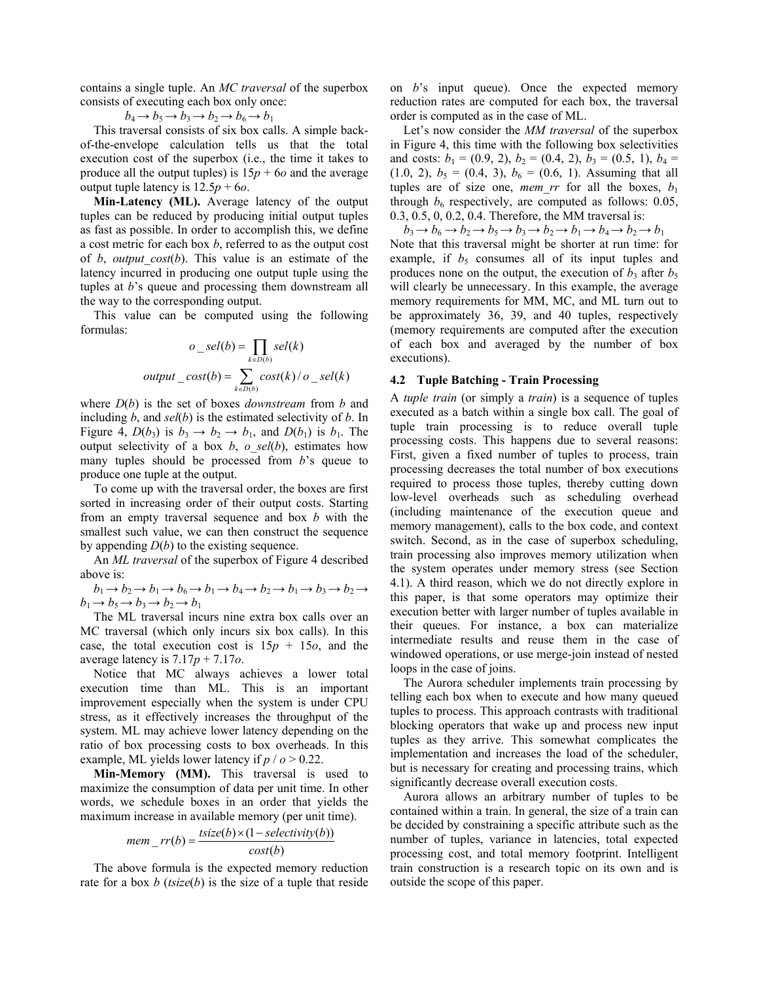contains a single tuple. An *MC traversal* of the superbox consists of executing each box only once:

$$
b_4 \rightarrow b_5 \rightarrow b_3 \rightarrow b_2 \rightarrow b_6 \rightarrow b_1
$$

This traversal consists of six box calls. A simple backof-the-envelope calculation tells us that the total execution cost of the superbox (i.e., the time it takes to produce all the output tuples) is  $15p + 60$  and the average output tuple latency is 12.5*p* + 6*o*.

**Min-Latency (ML).** Average latency of the output tuples can be reduced by producing initial output tuples as fast as possible. In order to accomplish this, we define a cost metric for each box *b*, referred to as the output cost of *b*, *output\_cost*(*b*). This value is an estimate of the latency incurred in producing one output tuple using the tuples at *b*'s queue and processing them downstream all the way to the corresponding output.

This value can be computed using the following formulas:

$$
o\_sel(b) = \prod_{k \in D(b)} sel(k)
$$
  
output 
$$
cost(b) = \sum_{k \in D(b)} cost(k) / o\_sel(k)
$$

where *D*(*b*) is the set of boxes *downstream* from *b* and including *b*, and *sel*(*b*) is the estimated selectivity of *b*. In Figure 4,  $D(b_3)$  is  $b_3 \rightarrow b_2 \rightarrow b_1$ , and  $D(b_1)$  is  $b_1$ . The output selectivity of a box *b*, *o\_sel*(*b*), estimates how many tuples should be processed from *b*'s queue to produce one tuple at the output.

To come up with the traversal order, the boxes are first sorted in increasing order of their output costs. Starting from an empty traversal sequence and box *b* with the smallest such value, we can then construct the sequence by appending *D*(*b*) to the existing sequence.

An *ML traversal* of the superbox of Figure 4 described above is:

 $b_1 \rightarrow b_2 \rightarrow b_1 \rightarrow b_6 \rightarrow b_1 \rightarrow b_4 \rightarrow b_2 \rightarrow b_1 \rightarrow b_3 \rightarrow b_2 \rightarrow$  $b_1 \rightarrow b_5 \rightarrow b_3 \rightarrow b_2 \rightarrow b_1$ 

The ML traversal incurs nine extra box calls over an MC traversal (which only incurs six box calls). In this case, the total execution cost is  $15p + 15q$ , and the average latency is 7.17*p* + 7.17*o*.

Notice that MC always achieves a lower total execution time than ML. This is an important improvement especially when the system is under CPU stress, as it effectively increases the throughput of the system. ML may achieve lower latency depending on the ratio of box processing costs to box overheads. In this example, ML yields lower latency if  $p / o > 0.22$ .

**Min-Memory (MM).** This traversal is used to maximize the consumption of data per unit time. In other words, we schedule boxes in an order that yields the maximum increase in available memory (per unit time).

$$
mem\_rr(b) = \frac{tsize(b) \times (1 - selectivity(b))}{cost(b)}
$$

The above formula is the expected memory reduction rate for a box *b* (*tsize*(*b*) is the size of a tuple that reside on *b*'s input queue). Once the expected memory reduction rates are computed for each box, the traversal order is computed as in the case of ML.

Let's now consider the *MM traversal* of the superbox in Figure 4, this time with the following box selectivities and costs:  $b_1 = (0.9, 2), b_2 = (0.4, 2), b_3 = (0.5, 1), b_4 =$  $(1.0, 2)$ ,  $b_5 = (0.4, 3)$ ,  $b_6 = (0.6, 1)$ . Assuming that all tuples are of size one, *mem rr* for all the boxes,  $b_1$ through  $b_6$  respectively, are computed as follows: 0.05, 0.3, 0.5, 0, 0.2, 0.4. Therefore, the MM traversal is:

 $b_3 \rightarrow b_6 \rightarrow b_2 \rightarrow b_5 \rightarrow b_3 \rightarrow b_2 \rightarrow b_1 \rightarrow b_4 \rightarrow b_2 \rightarrow b_1$ Note that this traversal might be shorter at run time: for example, if  $b_5$  consumes all of its input tuples and produces none on the output, the execution of  $b_3$  after  $b_5$ will clearly be unnecessary. In this example, the average memory requirements for MM, MC, and ML turn out to be approximately 36, 39, and 40 tuples, respectively (memory requirements are computed after the execution of each box and averaged by the number of box executions).

#### **4.2 Tuple Batching - Train Processing**

A *tuple train* (or simply a *train*) is a sequence of tuples executed as a batch within a single box call. The goal of tuple train processing is to reduce overall tuple processing costs. This happens due to several reasons: First, given a fixed number of tuples to process, train processing decreases the total number of box executions required to process those tuples, thereby cutting down low-level overheads such as scheduling overhead (including maintenance of the execution queue and memory management), calls to the box code, and context switch. Second, as in the case of superbox scheduling, train processing also improves memory utilization when the system operates under memory stress (see Section 4.1). A third reason, which we do not directly explore in this paper, is that some operators may optimize their execution better with larger number of tuples available in their queues. For instance, a box can materialize intermediate results and reuse them in the case of windowed operations, or use merge-join instead of nested loops in the case of joins.

The Aurora scheduler implements train processing by telling each box when to execute and how many queued tuples to process. This approach contrasts with traditional blocking operators that wake up and process new input tuples as they arrive. This somewhat complicates the implementation and increases the load of the scheduler, but is necessary for creating and processing trains, which significantly decrease overall execution costs.

Aurora allows an arbitrary number of tuples to be contained within a train. In general, the size of a train can be decided by constraining a specific attribute such as the number of tuples, variance in latencies, total expected processing cost, and total memory footprint. Intelligent train construction is a research topic on its own and is outside the scope of this paper.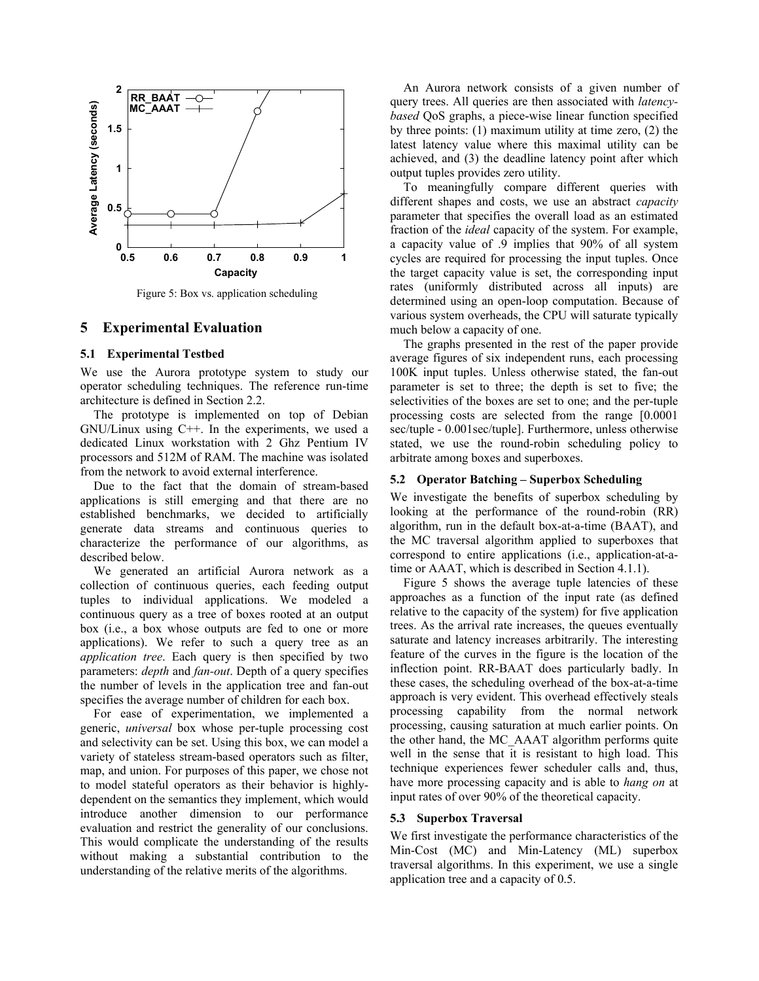

Figure 5: Box vs. application scheduling

#### **5 Experimental Evaluation**

#### **5.1 Experimental Testbed**

We use the Aurora prototype system to study our operator scheduling techniques. The reference run-time architecture is defined in Section 2.2.

The prototype is implemented on top of Debian GNU/Linux using C++. In the experiments, we used a dedicated Linux workstation with 2 Ghz Pentium IV processors and 512M of RAM. The machine was isolated from the network to avoid external interference.

Due to the fact that the domain of stream-based applications is still emerging and that there are no established benchmarks, we decided to artificially generate data streams and continuous queries to characterize the performance of our algorithms, as described below.

We generated an artificial Aurora network as a collection of continuous queries, each feeding output tuples to individual applications. We modeled a continuous query as a tree of boxes rooted at an output box (i.e., a box whose outputs are fed to one or more applications). We refer to such a query tree as an *application tree*. Each query is then specified by two parameters: *depth* and *fan-out*. Depth of a query specifies the number of levels in the application tree and fan-out specifies the average number of children for each box.

For ease of experimentation, we implemented a generic, *universal* box whose per-tuple processing cost and selectivity can be set. Using this box, we can model a variety of stateless stream-based operators such as filter, map, and union. For purposes of this paper, we chose not to model stateful operators as their behavior is highlydependent on the semantics they implement, which would introduce another dimension to our performance evaluation and restrict the generality of our conclusions. This would complicate the understanding of the results without making a substantial contribution to the understanding of the relative merits of the algorithms.

An Aurora network consists of a given number of query trees. All queries are then associated with *latencybased* QoS graphs, a piece-wise linear function specified by three points: (1) maximum utility at time zero, (2) the latest latency value where this maximal utility can be achieved, and (3) the deadline latency point after which output tuples provides zero utility.

To meaningfully compare different queries with different shapes and costs, we use an abstract *capacity*  parameter that specifies the overall load as an estimated fraction of the *ideal* capacity of the system. For example, a capacity value of .9 implies that 90% of all system cycles are required for processing the input tuples. Once the target capacity value is set, the corresponding input rates (uniformly distributed across all inputs) are determined using an open-loop computation. Because of various system overheads, the CPU will saturate typically much below a capacity of one.

The graphs presented in the rest of the paper provide average figures of six independent runs, each processing 100K input tuples. Unless otherwise stated, the fan-out parameter is set to three; the depth is set to five; the selectivities of the boxes are set to one; and the per-tuple processing costs are selected from the range [0.0001 sec/tuple - 0.001sec/tuple]. Furthermore, unless otherwise stated, we use the round-robin scheduling policy to arbitrate among boxes and superboxes.

#### **5.2 Operator Batching – Superbox Scheduling**

We investigate the benefits of superbox scheduling by looking at the performance of the round-robin (RR) algorithm, run in the default box-at-a-time (BAAT), and the MC traversal algorithm applied to superboxes that correspond to entire applications (i.e., application-at-atime or AAAT, which is described in Section 4.1.1).

Figure 5 shows the average tuple latencies of these approaches as a function of the input rate (as defined relative to the capacity of the system) for five application trees. As the arrival rate increases, the queues eventually saturate and latency increases arbitrarily. The interesting feature of the curves in the figure is the location of the inflection point. RR-BAAT does particularly badly. In these cases, the scheduling overhead of the box-at-a-time approach is very evident. This overhead effectively steals processing capability from the normal network processing, causing saturation at much earlier points. On the other hand, the MC\_AAAT algorithm performs quite well in the sense that it is resistant to high load. This technique experiences fewer scheduler calls and, thus, have more processing capacity and is able to *hang on* at input rates of over 90% of the theoretical capacity.

#### **5.3 Superbox Traversal**

We first investigate the performance characteristics of the Min-Cost (MC) and Min-Latency (ML) superbox traversal algorithms. In this experiment, we use a single application tree and a capacity of 0.5.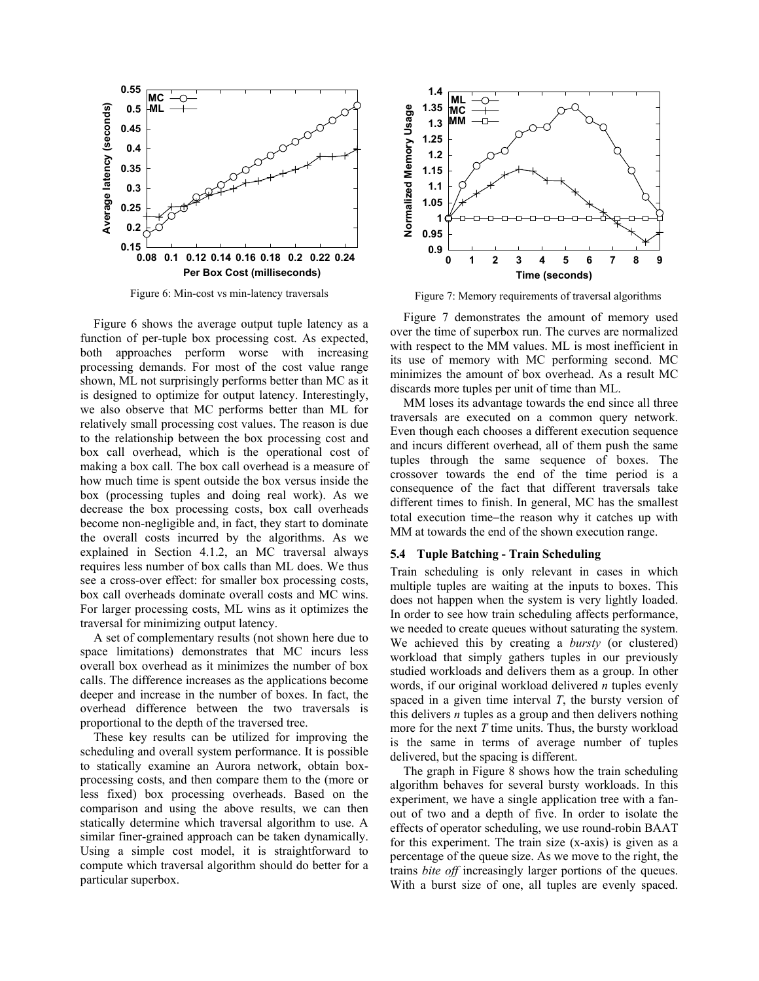

Figure 6: Min-cost vs min-latency traversals

Figure 6 shows the average output tuple latency as a function of per-tuple box processing cost. As expected, both approaches perform worse with increasing processing demands. For most of the cost value range shown, ML not surprisingly performs better than MC as it is designed to optimize for output latency. Interestingly, we also observe that MC performs better than ML for relatively small processing cost values. The reason is due to the relationship between the box processing cost and box call overhead, which is the operational cost of making a box call. The box call overhead is a measure of how much time is spent outside the box versus inside the box (processing tuples and doing real work). As we decrease the box processing costs, box call overheads become non-negligible and, in fact, they start to dominate the overall costs incurred by the algorithms. As we explained in Section 4.1.2, an MC traversal always requires less number of box calls than ML does. We thus see a cross-over effect: for smaller box processing costs, box call overheads dominate overall costs and MC wins. For larger processing costs, ML wins as it optimizes the traversal for minimizing output latency.

A set of complementary results (not shown here due to space limitations) demonstrates that MC incurs less overall box overhead as it minimizes the number of box calls. The difference increases as the applications become deeper and increase in the number of boxes. In fact, the overhead difference between the two traversals is proportional to the depth of the traversed tree.

These key results can be utilized for improving the scheduling and overall system performance. It is possible to statically examine an Aurora network, obtain boxprocessing costs, and then compare them to the (more or less fixed) box processing overheads. Based on the comparison and using the above results, we can then statically determine which traversal algorithm to use. A similar finer-grained approach can be taken dynamically. Using a simple cost model, it is straightforward to compute which traversal algorithm should do better for a particular superbox.



Figure 7: Memory requirements of traversal algorithms

Figure 7 demonstrates the amount of memory used over the time of superbox run. The curves are normalized with respect to the MM values. ML is most inefficient in its use of memory with MC performing second. MC minimizes the amount of box overhead. As a result MC discards more tuples per unit of time than ML.

MM loses its advantage towards the end since all three traversals are executed on a common query network. Even though each chooses a different execution sequence and incurs different overhead, all of them push the same tuples through the same sequence of boxes. The crossover towards the end of the time period is a consequence of the fact that different traversals take different times to finish. In general, MC has the smallest total execution time−the reason why it catches up with MM at towards the end of the shown execution range.

#### **5.4 Tuple Batching - Train Scheduling**

Train scheduling is only relevant in cases in which multiple tuples are waiting at the inputs to boxes. This does not happen when the system is very lightly loaded. In order to see how train scheduling affects performance, we needed to create queues without saturating the system. We achieved this by creating a *bursty* (or clustered) workload that simply gathers tuples in our previously studied workloads and delivers them as a group. In other words, if our original workload delivered *n* tuples evenly spaced in a given time interval *T*, the bursty version of this delivers *n* tuples as a group and then delivers nothing more for the next *T* time units. Thus, the bursty workload is the same in terms of average number of tuples delivered, but the spacing is different.

The graph in Figure 8 shows how the train scheduling algorithm behaves for several bursty workloads. In this experiment, we have a single application tree with a fanout of two and a depth of five. In order to isolate the effects of operator scheduling, we use round-robin BAAT for this experiment. The train size (x-axis) is given as a percentage of the queue size. As we move to the right, the trains *bite off* increasingly larger portions of the queues. With a burst size of one, all tuples are evenly spaced.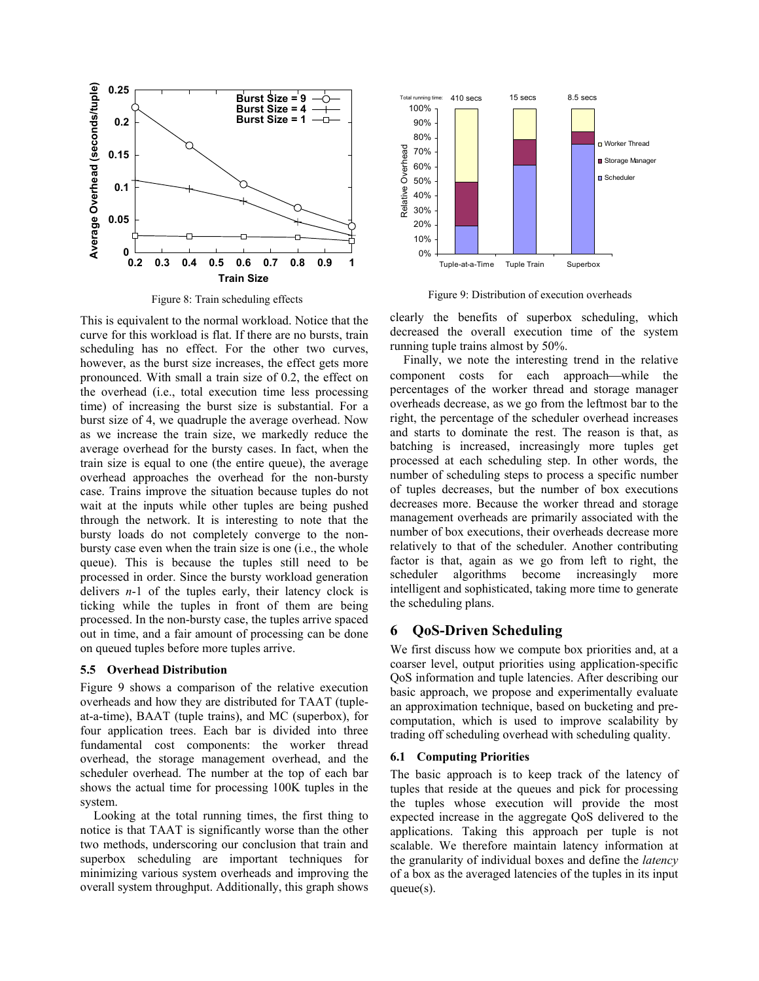

Figure 8: Train scheduling effects

This is equivalent to the normal workload. Notice that the curve for this workload is flat. If there are no bursts, train scheduling has no effect. For the other two curves, however, as the burst size increases, the effect gets more pronounced. With small a train size of 0.2, the effect on the overhead (i.e., total execution time less processing time) of increasing the burst size is substantial. For a burst size of 4, we quadruple the average overhead. Now as we increase the train size, we markedly reduce the average overhead for the bursty cases. In fact, when the train size is equal to one (the entire queue), the average overhead approaches the overhead for the non-bursty case. Trains improve the situation because tuples do not wait at the inputs while other tuples are being pushed through the network. It is interesting to note that the bursty loads do not completely converge to the nonbursty case even when the train size is one (i.e., the whole queue). This is because the tuples still need to be processed in order. Since the bursty workload generation delivers *n*-1 of the tuples early, their latency clock is ticking while the tuples in front of them are being processed. In the non-bursty case, the tuples arrive spaced out in time, and a fair amount of processing can be done on queued tuples before more tuples arrive.

#### **5.5 Overhead Distribution**

Figure 9 shows a comparison of the relative execution overheads and how they are distributed for TAAT (tupleat-a-time), BAAT (tuple trains), and MC (superbox), for four application trees. Each bar is divided into three fundamental cost components: the worker thread overhead, the storage management overhead, and the scheduler overhead. The number at the top of each bar shows the actual time for processing 100K tuples in the system.

Looking at the total running times, the first thing to notice is that TAAT is significantly worse than the other two methods, underscoring our conclusion that train and superbox scheduling are important techniques for minimizing various system overheads and improving the overall system throughput. Additionally, this graph shows



Figure 9: Distribution of execution overheads

clearly the benefits of superbox scheduling, which decreased the overall execution time of the system running tuple trains almost by 50%.

Finally, we note the interesting trend in the relative component costs for each approach—while the percentages of the worker thread and storage manager overheads decrease, as we go from the leftmost bar to the right, the percentage of the scheduler overhead increases and starts to dominate the rest. The reason is that, as batching is increased, increasingly more tuples get processed at each scheduling step. In other words, the number of scheduling steps to process a specific number of tuples decreases, but the number of box executions decreases more. Because the worker thread and storage management overheads are primarily associated with the number of box executions, their overheads decrease more relatively to that of the scheduler. Another contributing factor is that, again as we go from left to right, the scheduler algorithms become increasingly more intelligent and sophisticated, taking more time to generate the scheduling plans.

# **6 QoS-Driven Scheduling**

We first discuss how we compute box priorities and, at a coarser level, output priorities using application-specific QoS information and tuple latencies. After describing our basic approach, we propose and experimentally evaluate an approximation technique, based on bucketing and precomputation, which is used to improve scalability by trading off scheduling overhead with scheduling quality.

# **6.1 Computing Priorities**

The basic approach is to keep track of the latency of tuples that reside at the queues and pick for processing the tuples whose execution will provide the most expected increase in the aggregate QoS delivered to the applications. Taking this approach per tuple is not scalable. We therefore maintain latency information at the granularity of individual boxes and define the *latency* of a box as the averaged latencies of the tuples in its input queue(s).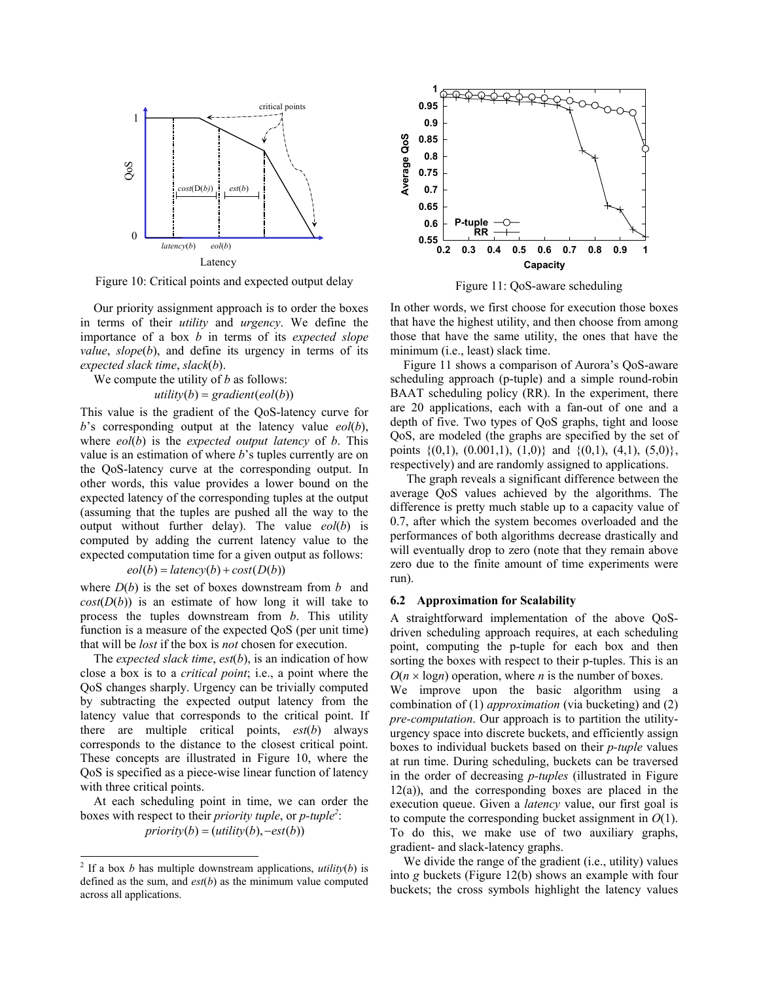

Figure 10: Critical points and expected output delay

Our priority assignment approach is to order the boxes in terms of their *utility* and *urgency*. We define the importance of a box *b* in terms of its *expected slope value*, *slope*(*b*), and define its urgency in terms of its *expected slack time*, *slack*(*b*).

We compute the utility of *b* as follows:  $utility(b) = gradient(eol(b))$ 

This value is the gradient of the QoS-latency curve for *b*'s corresponding output at the latency value *eol*(*b*), where *eol*(*b*) is the *expected output latency* of *b*. This value is an estimation of where *b*'s tuples currently are on the QoS-latency curve at the corresponding output. In other words, this value provides a lower bound on the expected latency of the corresponding tuples at the output (assuming that the tuples are pushed all the way to the output without further delay). The value *eol*(*b*) is computed by adding the current latency value to the expected computation time for a given output as follows:  $eol(b) = latency(b) + cost(D(b))$ 

where  $D(b)$  is the set of boxes downstream from  $b$  and  $cost(D(b))$  is an estimate of how long it will take to process the tuples downstream from *b*. This utility function is a measure of the expected QoS (per unit time) that will be *lost* if the box is *not* chosen for execution.

The *expected slack time*, *est*(*b*), is an indication of how close a box is to a *critical point*; i.e., a point where the QoS changes sharply. Urgency can be trivially computed by subtracting the expected output latency from the latency value that corresponds to the critical point. If there are multiple critical points, *est*(*b*) always corresponds to the distance to the closest critical point. These concepts are illustrated in Figure 10, where the QoS is specified as a piece-wise linear function of latency with three critical points.

At each scheduling point in time, we can order the boxes with respect to their *priority tuple*, or *p-tuple2* :  $priority(b) = (utility(b), -est(b))$ 



Figure 11: QoS-aware scheduling

In other words, we first choose for execution those boxes that have the highest utility, and then choose from among those that have the same utility, the ones that have the minimum (i.e., least) slack time.

Figure 11 shows a comparison of Aurora's QoS-aware scheduling approach (p-tuple) and a simple round-robin BAAT scheduling policy (RR). In the experiment, there are 20 applications, each with a fan-out of one and a depth of five. Two types of QoS graphs, tight and loose QoS, are modeled (the graphs are specified by the set of points  $\{(0,1), (0.001,1), (1,0)\}\$  and  $\{(0,1), (4,1), (5,0)\}\$ , respectively) and are randomly assigned to applications.

 The graph reveals a significant difference between the average QoS values achieved by the algorithms. The difference is pretty much stable up to a capacity value of 0.7, after which the system becomes overloaded and the performances of both algorithms decrease drastically and will eventually drop to zero (note that they remain above zero due to the finite amount of time experiments were run).

#### **6.2 Approximation for Scalability**

A straightforward implementation of the above QoSdriven scheduling approach requires, at each scheduling point, computing the p-tuple for each box and then sorting the boxes with respect to their p-tuples. This is an  $O(n \times \log n)$  operation, where *n* is the number of boxes.

We improve upon the basic algorithm using a combination of (1) *approximation* (via bucketing) and (2) *pre-computation*. Our approach is to partition the utilityurgency space into discrete buckets, and efficiently assign boxes to individual buckets based on their *p-tuple* values at run time. During scheduling, buckets can be traversed in the order of decreasing *p-tuples* (illustrated in Figure  $12(a)$ ), and the corresponding boxes are placed in the execution queue. Given a *latency* value, our first goal is to compute the corresponding bucket assignment in  $O(1)$ . To do this, we make use of two auxiliary graphs, gradient- and slack-latency graphs.

We divide the range of the gradient (i.e., utility) values into *g* buckets (Figure 12(b) shows an example with four buckets; the cross symbols highlight the latency values

l <sup>2</sup> If a box *b* has multiple downstream applications, *utility*(*b*) is defined as the sum, and *est*(*b*) as the minimum value computed across all applications.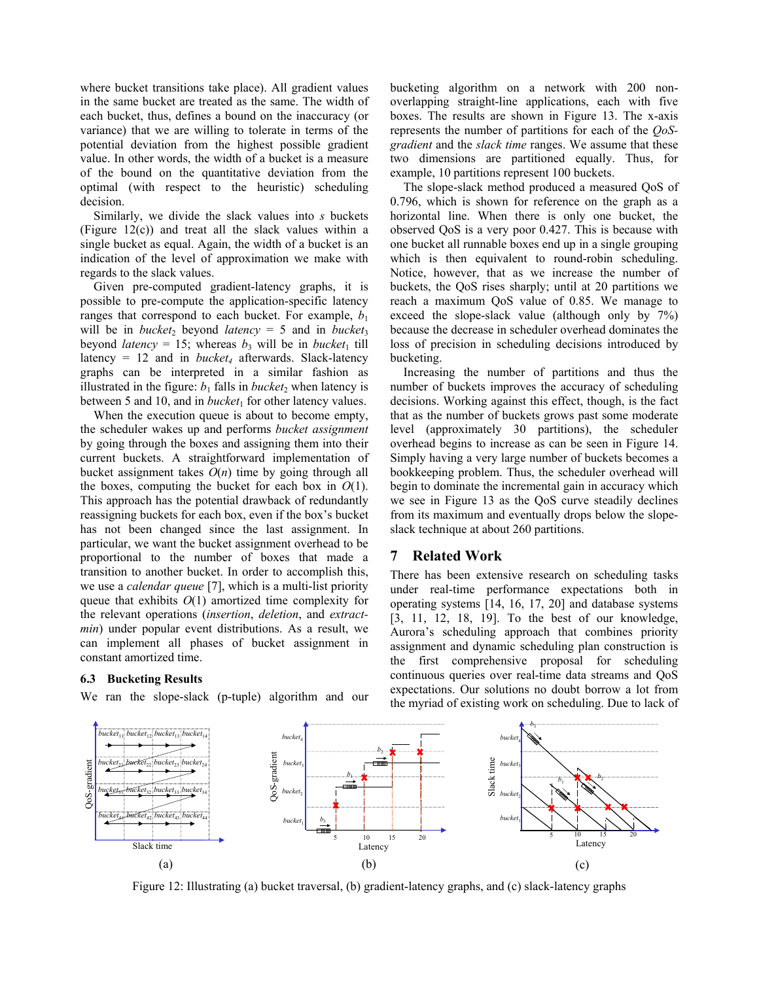where bucket transitions take place). All gradient values in the same bucket are treated as the same. The width of each bucket, thus, defines a bound on the inaccuracy (or variance) that we are willing to tolerate in terms of the potential deviation from the highest possible gradient value. In other words, the width of a bucket is a measure of the bound on the quantitative deviation from the optimal (with respect to the heuristic) scheduling decision.

Similarly, we divide the slack values into *s* buckets (Figure  $12(c)$ ) and treat all the slack values within a single bucket as equal. Again, the width of a bucket is an indication of the level of approximation we make with regards to the slack values.

Given pre-computed gradient-latency graphs, it is possible to pre-compute the application-specific latency ranges that correspond to each bucket. For example,  $b_1$ will be in *bucket*, beyond *latency* = 5 and in *bucket*<sup>3</sup> beyond *latency* = 15; whereas  $b_3$  will be in *bucket*<sub>1</sub> till latency  $= 12$  and in *bucket<sub>4</sub>* afterwards. Slack-latency graphs can be interpreted in a similar fashion as illustrated in the figure:  $b_1$  falls in *bucket*<sub>2</sub> when latency is between 5 and 10, and in *bucket*<sup>1</sup> for other latency values.

When the execution queue is about to become empty, the scheduler wakes up and performs *bucket assignment*  by going through the boxes and assigning them into their current buckets. A straightforward implementation of bucket assignment takes *O*(*n*) time by going through all the boxes, computing the bucket for each box in  $O(1)$ . This approach has the potential drawback of redundantly reassigning buckets for each box, even if the box's bucket has not been changed since the last assignment. In particular, we want the bucket assignment overhead to be proportional to the number of boxes that made a transition to another bucket. In order to accomplish this, we use a *calendar queue* [7], which is a multi-list priority queue that exhibits  $O(1)$  amortized time complexity for the relevant operations (*insertion*, *deletion*, and *extractmin*) under popular event distributions. As a result, we can implement all phases of bucket assignment in constant amortized time.

#### **6.3 Bucketing Results**

We ran the slope-slack (p-tuple) algorithm and our

bucketing algorithm on a network with 200 nonoverlapping straight-line applications, each with five boxes. The results are shown in Figure 13. The x-axis represents the number of partitions for each of the *QoSgradient* and the *slack time* ranges. We assume that these two dimensions are partitioned equally. Thus, for example, 10 partitions represent 100 buckets.

The slope-slack method produced a measured QoS of 0.796, which is shown for reference on the graph as a horizontal line. When there is only one bucket, the observed QoS is a very poor 0.427. This is because with one bucket all runnable boxes end up in a single grouping which is then equivalent to round-robin scheduling. Notice, however, that as we increase the number of buckets, the QoS rises sharply; until at 20 partitions we reach a maximum QoS value of 0.85. We manage to exceed the slope-slack value (although only by  $7\%$ ) because the decrease in scheduler overhead dominates the loss of precision in scheduling decisions introduced by bucketing.

Increasing the number of partitions and thus the number of buckets improves the accuracy of scheduling decisions. Working against this effect, though, is the fact that as the number of buckets grows past some moderate level (approximately 30 partitions), the scheduler overhead begins to increase as can be seen in Figure 14. Simply having a very large number of buckets becomes a bookkeeping problem. Thus, the scheduler overhead will begin to dominate the incremental gain in accuracy which we see in Figure 13 as the QoS curve steadily declines from its maximum and eventually drops below the slopeslack technique at about 260 partitions.

#### **7 Related Work**

There has been extensive research on scheduling tasks under real-time performance expectations both in operating systems [14, 16, 17, 20] and database systems [3, 11, 12, 18, 19]. To the best of our knowledge, Aurora's scheduling approach that combines priority assignment and dynamic scheduling plan construction is the first comprehensive proposal for scheduling continuous queries over real-time data streams and QoS expectations. Our solutions no doubt borrow a lot from the myriad of existing work on scheduling. Due to lack of



Figure 12: Illustrating (a) bucket traversal, (b) gradient-latency graphs, and (c) slack-latency graphs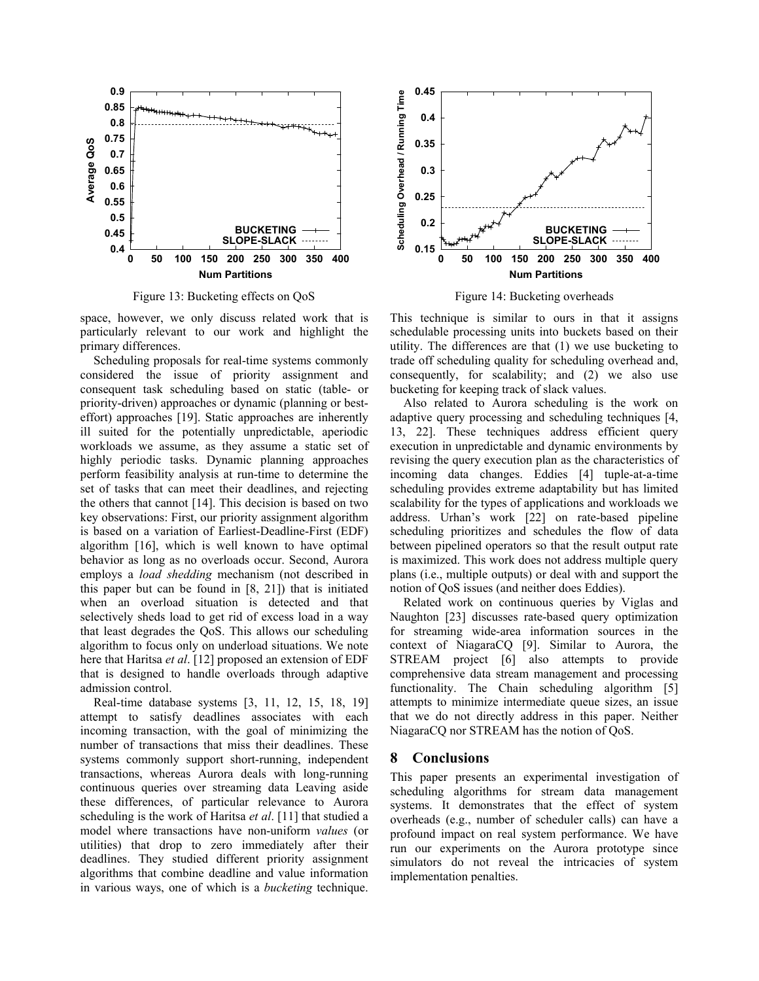

Figure 13: Bucketing effects on QoS

space, however, we only discuss related work that is particularly relevant to our work and highlight the primary differences.

Scheduling proposals for real-time systems commonly considered the issue of priority assignment and consequent task scheduling based on static (table- or priority-driven) approaches or dynamic (planning or besteffort) approaches [19]. Static approaches are inherently ill suited for the potentially unpredictable, aperiodic workloads we assume, as they assume a static set of highly periodic tasks. Dynamic planning approaches perform feasibility analysis at run-time to determine the set of tasks that can meet their deadlines, and rejecting the others that cannot [14]. This decision is based on two key observations: First, our priority assignment algorithm is based on a variation of Earliest-Deadline-First (EDF) algorithm [16], which is well known to have optimal behavior as long as no overloads occur. Second, Aurora employs a *load shedding* mechanism (not described in this paper but can be found in [8, 21]) that is initiated when an overload situation is detected and that selectively sheds load to get rid of excess load in a way that least degrades the QoS. This allows our scheduling algorithm to focus only on underload situations. We note here that Haritsa *et al*. [12] proposed an extension of EDF that is designed to handle overloads through adaptive admission control.

Real-time database systems [3, 11, 12, 15, 18, 19] attempt to satisfy deadlines associates with each incoming transaction, with the goal of minimizing the number of transactions that miss their deadlines. These systems commonly support short-running, independent transactions, whereas Aurora deals with long-running continuous queries over streaming data Leaving aside these differences, of particular relevance to Aurora scheduling is the work of Haritsa *et al*. [11] that studied a model where transactions have non-uniform *values* (or utilities) that drop to zero immediately after their deadlines. They studied different priority assignment algorithms that combine deadline and value information in various ways, one of which is a *bucketing* technique.



Figure 14: Bucketing overheads

This technique is similar to ours in that it assigns schedulable processing units into buckets based on their utility. The differences are that (1) we use bucketing to trade off scheduling quality for scheduling overhead and, consequently, for scalability; and (2) we also use bucketing for keeping track of slack values.

Also related to Aurora scheduling is the work on adaptive query processing and scheduling techniques [4, 13, 22]. These techniques address efficient query execution in unpredictable and dynamic environments by revising the query execution plan as the characteristics of incoming data changes. Eddies [4] tuple-at-a-time scheduling provides extreme adaptability but has limited scalability for the types of applications and workloads we address. Urhan's work [22] on rate-based pipeline scheduling prioritizes and schedules the flow of data between pipelined operators so that the result output rate is maximized. This work does not address multiple query plans (i.e., multiple outputs) or deal with and support the notion of QoS issues (and neither does Eddies).

Related work on continuous queries by Viglas and Naughton [23] discusses rate-based query optimization for streaming wide-area information sources in the context of NiagaraCQ [9]. Similar to Aurora, the STREAM project [6] also attempts to provide comprehensive data stream management and processing functionality. The Chain scheduling algorithm [5] attempts to minimize intermediate queue sizes, an issue that we do not directly address in this paper. Neither NiagaraCQ nor STREAM has the notion of QoS.

#### **8 Conclusions**

This paper presents an experimental investigation of scheduling algorithms for stream data management systems. It demonstrates that the effect of system overheads (e.g., number of scheduler calls) can have a profound impact on real system performance. We have run our experiments on the Aurora prototype since simulators do not reveal the intricacies of system implementation penalties.